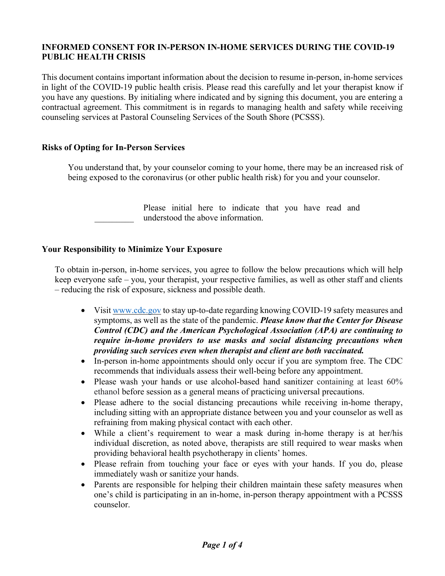# **INFORMED CONSENT FOR IN-PERSON IN-HOME SERVICES DURING THE COVID-19 PUBLIC HEALTH CRISIS**

This document contains important information about the decision to resume in-person, in-home services in light of the COVID-19 public health crisis. Please read this carefully and let your therapist know if you have any questions. By initialing where indicated and by signing this document, you are entering a contractual agreement. This commitment is in regards to managing health and safety while receiving counseling services at Pastoral Counseling Services of the South Shore (PCSSS).

### **Risks of Opting for In-Person Services**

You understand that, by your counselor coming to your home, there may be an increased risk of being exposed to the coronavirus (or other public health risk) for you and your counselor.

> Please initial here to indicate that you have read and understood the above information.

## **Your Responsibility to Minimize Your Exposure**

To obtain in-person, in-home services, you agree to follow the below precautions which will help keep everyone safe – you, your therapist, your respective families, as well as other staff and clients – reducing the risk of exposure, sickness and possible death.

- Visit www.cdc.gov to stay up-to-date regarding knowing COVID-19 safety measures and symptoms, as well as the state of the pandemic. *Please know that the Center for Disease Control (CDC) and the American Psychological Association (APA) are continuing to require in-home providers to use masks and social distancing precautions when providing such services even when therapist and client are both vaccinated.*
- In-person in-home appointments should only occur if you are symptom free. The CDC recommends that individuals assess their well-being before any appointment.
- Please wash your hands or use alcohol-based hand sanitizer containing at least 60% ethanol before session as a general means of practicing universal precautions.
- Please adhere to the social distancing precautions while receiving in-home therapy, including sitting with an appropriate distance between you and your counselor as well as refraining from making physical contact with each other.
- While a client's requirement to wear a mask during in-home therapy is at her/his individual discretion, as noted above, therapists are still required to wear masks when providing behavioral health psychotherapy in clients' homes.
- Please refrain from touching your face or eyes with your hands. If you do, please immediately wash or sanitize your hands.
- Parents are responsible for helping their children maintain these safety measures when one's child is participating in an in-home, in-person therapy appointment with a PCSSS counselor.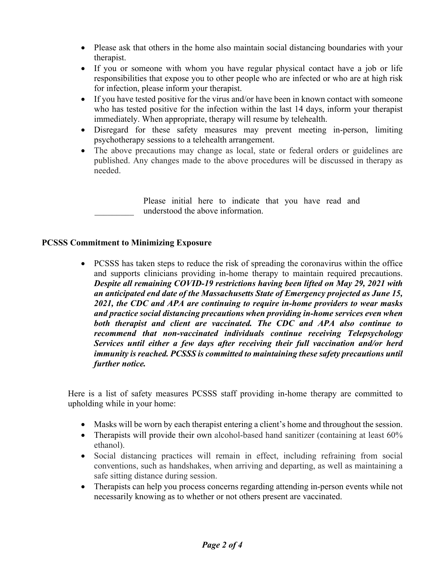- Please ask that others in the home also maintain social distancing boundaries with your therapist.
- If you or someone with whom you have regular physical contact have a job or life responsibilities that expose you to other people who are infected or who are at high risk for infection, please inform your therapist.
- If you have tested positive for the virus and/or have been in known contact with someone who has tested positive for the infection within the last 14 days, inform your therapist immediately. When appropriate, therapy will resume by telehealth.
- Disregard for these safety measures may prevent meeting in-person, limiting psychotherapy sessions to a telehealth arrangement.
- The above precautions may change as local, state or federal orders or guidelines are published. Any changes made to the above procedures will be discussed in therapy as needed.

Please initial here to indicate that you have read and understood the above information.

# **PCSSS Commitment to Minimizing Exposure**

• PCSSS has taken steps to reduce the risk of spreading the coronavirus within the office and supports clinicians providing in-home therapy to maintain required precautions. *Despite all remaining COVID-19 restrictions having been lifted on May 29, 2021 with an anticipated end date of the Massachusetts State of Emergency projected as June 15, 2021, the CDC and APA are continuing to require in-home providers to wear masks and practice social distancing precautions when providing in-home services even when both therapist and client are vaccinated. The CDC and APA also continue to recommend that non-vaccinated individuals continue receiving Telepsychology Services until either a few days after receiving their full vaccination and/or herd immunity is reached. PCSSS is committed to maintaining these safety precautions until further notice.*

Here is a list of safety measures PCSSS staff providing in-home therapy are committed to upholding while in your home:

- Masks will be worn by each therapist entering a client's home and throughout the session.
- Therapists will provide their own alcohol-based hand sanitizer (containing at least 60% ethanol).
- Social distancing practices will remain in effect, including refraining from social conventions, such as handshakes, when arriving and departing, as well as maintaining a safe sitting distance during session.
- Therapists can help you process concerns regarding attending in-person events while not necessarily knowing as to whether or not others present are vaccinated.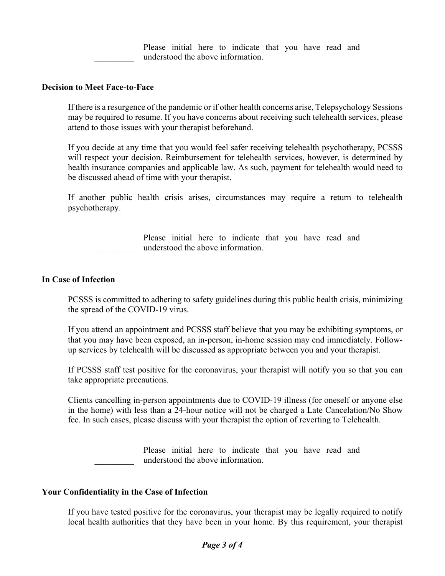Please initial here to indicate that you have read and understood the above information.

#### **Decision to Meet Face-to-Face**

If there is a resurgence of the pandemic or if other health concerns arise, Telepsychology Sessions may be required to resume. If you have concerns about receiving such telehealth services, please attend to those issues with your therapist beforehand.

If you decide at any time that you would feel safer receiving telehealth psychotherapy, PCSSS will respect your decision. Reimbursement for telehealth services, however, is determined by health insurance companies and applicable law. As such, payment for telehealth would need to be discussed ahead of time with your therapist.

If another public health crisis arises, circumstances may require a return to telehealth psychotherapy.

> Please initial here to indicate that you have read and understood the above information.

### **In Case of Infection**

PCSSS is committed to adhering to safety guidelines during this public health crisis, minimizing the spread of the COVID-19 virus.

If you attend an appointment and PCSSS staff believe that you may be exhibiting symptoms, or that you may have been exposed, an in-person, in-home session may end immediately. Followup services by telehealth will be discussed as appropriate between you and your therapist.

If PCSSS staff test positive for the coronavirus, your therapist will notify you so that you can take appropriate precautions.

Clients cancelling in-person appointments due to COVID-19 illness (for oneself or anyone else in the home) with less than a 24-hour notice will not be charged a Late Cancelation/No Show fee. In such cases, please discuss with your therapist the option of reverting to Telehealth.

> Please initial here to indicate that you have read and understood the above information.

#### **Your Confidentiality in the Case of Infection**

If you have tested positive for the coronavirus, your therapist may be legally required to notify local health authorities that they have been in your home. By this requirement, your therapist